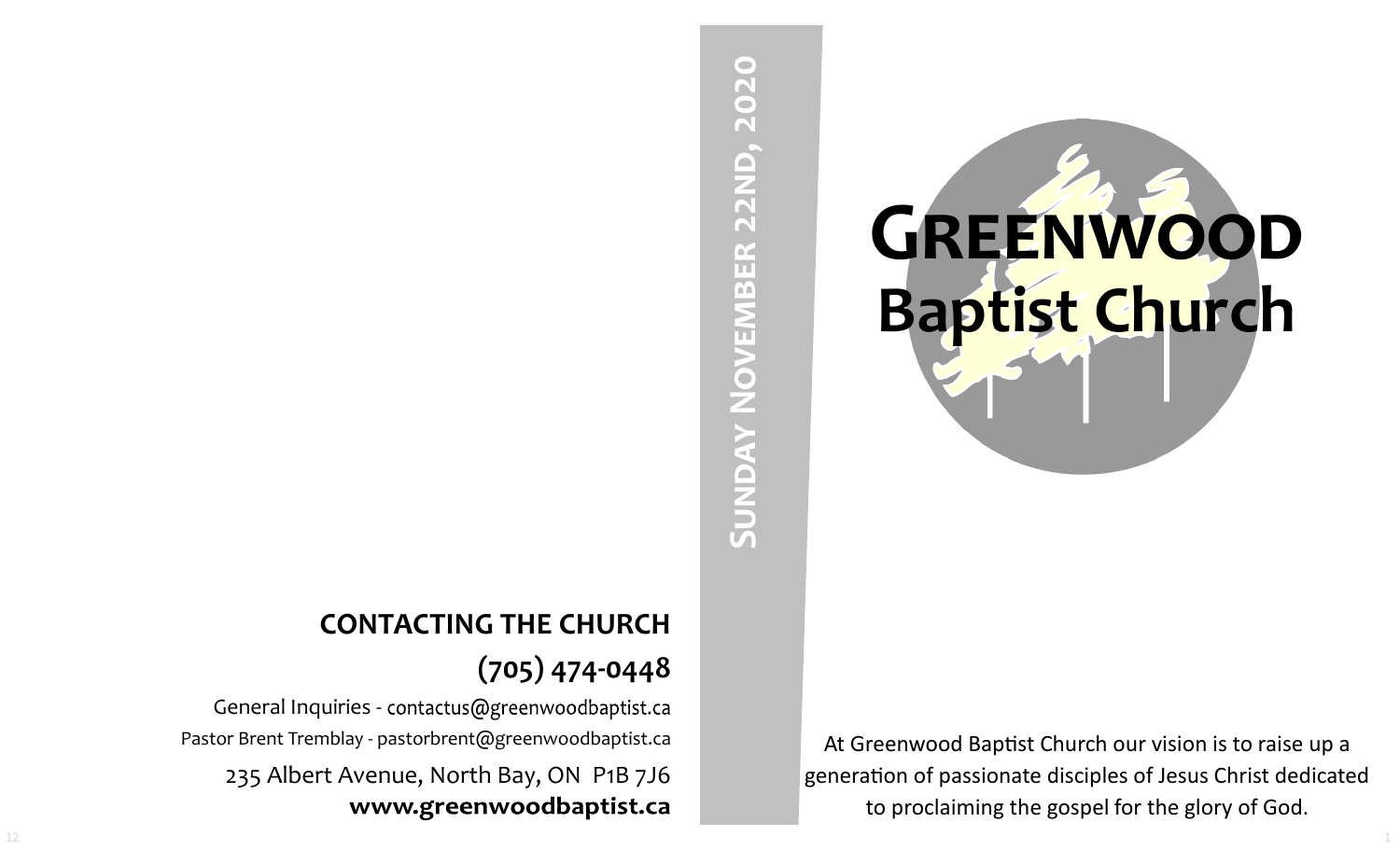# **GREENWOOD Baptist Church**

At Greenwood Baptist Church our vision is to raise up a generation of passionate disciples of Jesus Christ dedicated to proclaiming the gospel for the glory of God.

# **SUNDAY NOVEMBER 22ND, 2020 Sunday November 22nd, 2020**

## **CONTACTING THE CHURCH (705) 474-0448**

General Inquiries - contactus@greenwoodbaptist.ca Pastor Brent Tremblay - pastorbrent@greenwoodbaptist.ca 235 Albert Avenue, North Bay, ON P1B 7J6 www.greenwoodbaptist.ca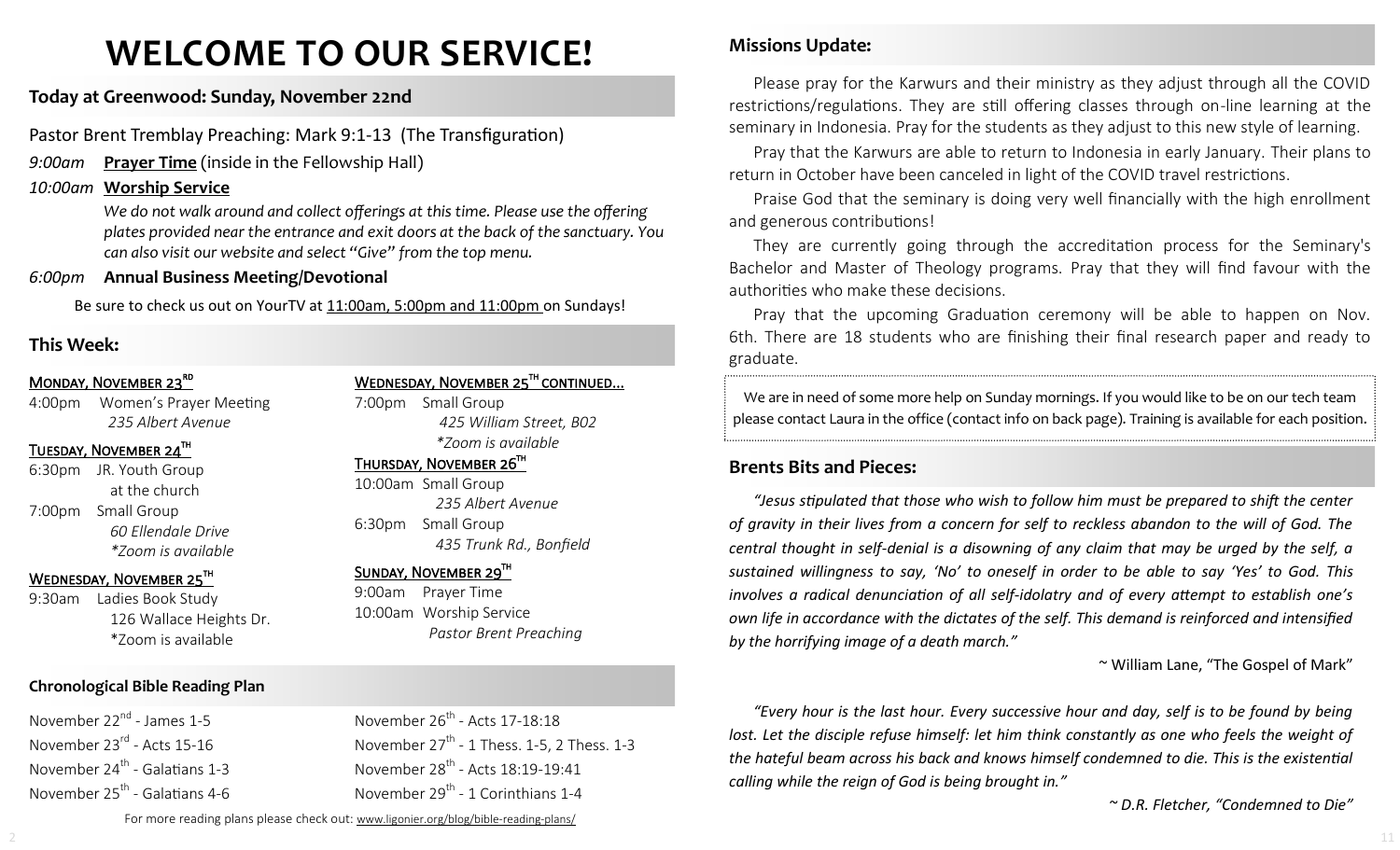# **WELCOME TO OUR SERVICE!**

### **Today at Greenwood: Sunday, November 22nd**

Pastor Brent Tremblay Preaching: Mark 9:1-13 (The Transfiguration)

*9:00am* **Prayer Time** (inside in the Fellowship Hall)

### *10:00am* **Worship Service**

*We do not walk around and collect offerings at this time. Please use the offering plates provided near the entrance and exit doors at the back of the sanctuary. You can also visit our website and select "Give" from the top menu.*

### *6:00pm* **Annual Business Meeting/Devotional**

Be sure to check us out on YourTV at 11:00am, 5:00pm and 11:00pm on Sundays!

### **This Week:**

### MONDAY, NOVEMBER 23<sup>RD</sup>

4:00pm Women's Prayer Meeting *235 Albert Avenue*

### $\overline{\text{TUESDAY}}$ , November 24 $^{\text{th}}$

6:30pm JR. Youth Group at the church 7:00pm Small Group *60 Ellendale Drive \*Zoom is available*

### WEDNESDAY, NOVEMBER 25TH

9:30am Ladies Book Study 126 Wallace Heights Dr. \*Zoom is available

### **Chronological Bible Reading Plan**

November 22<sup>nd</sup> - James 1-5 November 23<sup>rd</sup> - Acts 15-16 November 24<sup>th</sup> - Galatians 1-3 November 25<sup>th</sup> - Galatians 4-6 WEDNESDAY, NOVEMBER 25<sup>TH</sup> CONTINUED...

7:00pm Small Group *425 William Street, B02 \*Zoom is available* 

### $THURSDAY$ , NOVEMBER 26 $^{TH}$

10:00am Small Group *235 Albert Avenue* 6:30pm Small Group *435 Trunk Rd., Bonfield*

### SUNDAY, NOVEMBER 29TH

November 26<sup>th</sup> - Acts 17-18:18

November 28<sup>th</sup> - Acts 18:19-19:41 November 29<sup>th</sup> - 1 Corinthians 1-4

November  $27<sup>th</sup>$  - 1 Thess. 1-5, 2 Thess. 1-3

9:00am Prayer Time 10:00am Worship Service *Pastor Brent Preaching*

### **Missions Update:**

Please pray for the Karwurs and their ministry as they adjust through all the COVID restrictions/regulations. They are still offering classes through on-line learning at the seminary in Indonesia. Pray for the students as they adjust to this new style of learning.

Pray that the Karwurs are able to return to Indonesia in early January. Their plans to return in October have been canceled in light of the COVID travel restrictions.

Praise God that the seminary is doing very well financially with the high enrollment and generous contributions!

They are currently going through the accreditation process for the Seminary's Bachelor and Master of Theology programs. Pray that they will find favour with the authorities who make these decisions.

Pray that the upcoming Graduation ceremony will be able to happen on Nov. 6th. There are 18 students who are finishing their final research paper and ready to graduate.

We are in need of some more help on Sunday mornings. If you would like to be on our tech team please contact Laura in the office (contact info on back page). Training is available for each position.

### **Brents Bits and Pieces:**

*"Jesus stipulated that those who wish to follow him must be prepared to shift the center of gravity in their lives from a concern for self to reckless abandon to the will of God. The central thought in self-denial is a disowning of any claim that may be urged by the self, a sustained willingness to say, 'No' to oneself in order to be able to say 'Yes' to God. This involves a radical denunciation of all self-idolatry and of every attempt to establish one's own life in accordance with the dictates of the self. This demand is reinforced and intensified by the horrifying image of a death march."*

~ William Lane, "The Gospel of Mark"

*"Every hour is the last hour. Every successive hour and day, self is to be found by being lost. Let the disciple refuse himself: let him think constantly as one who feels the weight of the hateful beam across his back and knows himself condemned to die. This is the existential calling while the reign of God is being brought in."* 

*~ D.R. Fletcher, "Condemned to Die"*

For more reading plans please check out: www.ligonier.org/blog/bible-reading-plans/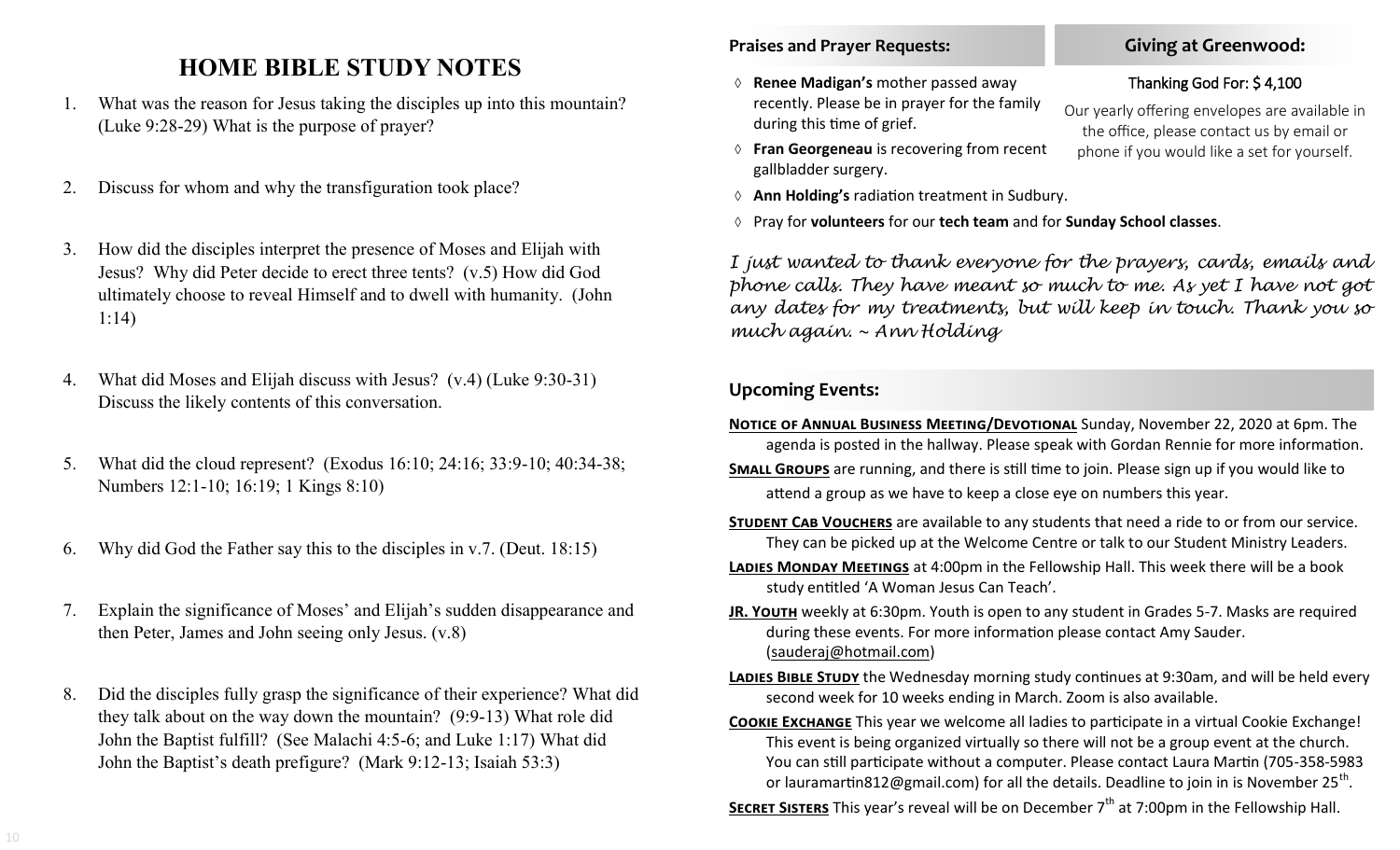### **HOME BIBLE STUDY NOTES**

- 1. What was the reason for Jesus taking the disciples up into this mountain? (Luke 9:28-29) What is the purpose of prayer?
- 2. Discuss for whom and why the transfiguration took place?
- 3. How did the disciples interpret the presence of Moses and Elijah with Jesus? Why did Peter decide to erect three tents? (v.5) How did God ultimately choose to reveal Himself and to dwell with humanity. (John 1:14)
- 4. What did Moses and Elijah discuss with Jesus? (v.4) (Luke 9:30-31) Discuss the likely contents of this conversation.
- 5. What did the cloud represent? (Exodus 16:10; 24:16; 33:9-10; 40:34-38; Numbers 12:1-10; 16:19; 1 Kings 8:10)
- 6. Why did God the Father say this to the disciples in v.7. (Deut. 18:15)
- 7. Explain the significance of Moses' and Elijah's sudden disappearance and then Peter, James and John seeing only Jesus. (v.8)
- 8. Did the disciples fully grasp the significance of their experience? What did they talk about on the way down the mountain? (9:9-13) What role did John the Baptist fulfill? (See Malachi 4:5-6; and Luke 1:17) What did John the Baptist's death prefigure? (Mark 9:12-13; Isaiah 53:3)

### **Praises and Prayer Requests:**

- **Renee Madigan's** mother passed away recently. Please be in prayer for the family during this time of grief.
- **Fran Georgeneau** is recovering from recent gallbladder surgery.
- **Ann Holding's** radiation treatment in Sudbury.
- Pray for **volunteers** for our **tech team** and for **Sunday School classes**.

*I just wanted to thank everyone for the prayers, cards, emails and phone calls. They have meant so much to me. As yet I have not got any dates for my treatments, but will keep in touch. Thank you so much again. ~ Ann Holding*

### **Upcoming Events:**

- **NOTICE OF ANNUAL BUSINESS MEETING/DEVOTIONAL** Sunday, November 22, 2020 at 6pm. The agenda is posted in the hallway. Please speak with Gordan Rennie for more information.
- **SMALL GROUPS** are running, and there is still time to join. Please sign up if you would like to attend a group as we have to keep a close eye on numbers this year.
- **STUDENT CAB VOUCHERS** are available to any students that need a ride to or from our service. They can be picked up at the Welcome Centre or talk to our Student Ministry Leaders.
- **LADIES MONDAY MEETINGS** at 4:00pm in the Fellowship Hall. This week there will be a book study entitled 'A Woman Jesus Can Teach'.
- **JR. YOUTH** weekly at 6:30pm. Youth is open to any student in Grades 5-7. Masks are required during these events. For more information please contact Amy Sauder. (sauderaj@hotmail.com)
- LADIES BIBLE STUDY the Wednesday morning study continues at 9:30am, and will be held every second week for 10 weeks ending in March. Zoom is also available.
- **Cookie Exchange** This year we welcome all ladies to participate in a virtual Cookie Exchange! This event is being organized virtually so there will not be a group event at the church. You can still participate without a computer. Please contact Laura Martin (705-358-5983 or lauramartin812@gmail.com) for all the details. Deadline to join in is November 25<sup>th</sup>.
- **SECRET SISTERS** This year's reveal will be on December 7<sup>th</sup> at 7:00pm in the Fellowship Hall.

### **Giving at Greenwood:**

### Thanking God For: \$ 4,100

Our yearly offering envelopes are available in the office, please contact us by email or phone if you would like a set for yourself.